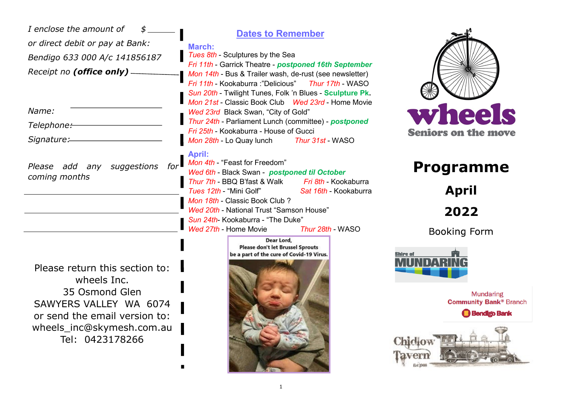| I enclose the amount of<br>or direct debit or pay at Bank:<br>Bendigo 633 000 A/c 141856187<br>Receipt no (office only) -                                                  | <b>Dates to Remember</b><br>March:<br>Tues 8th - Sculptures by the Sea<br>Fri 11th - Garrick Theatre - postponed 16th September<br>Mon 14th - Bus & Trailer wash, de-rust (see newsletter)<br>Fri 11th - Kookaburra : "Delicious" Thur 17th - WASO<br>Sun 20th - Twilight Tunes, Folk 'n Blues - Sculpture Pk.                                                          |                                                                                                                  |
|----------------------------------------------------------------------------------------------------------------------------------------------------------------------------|-------------------------------------------------------------------------------------------------------------------------------------------------------------------------------------------------------------------------------------------------------------------------------------------------------------------------------------------------------------------------|------------------------------------------------------------------------------------------------------------------|
| Name:<br>Telephone:-<br>Signature:                                                                                                                                         | Mon 21st - Classic Book Club  Wed 23rd - Home Movie<br>Wed 23rd Black Swan, "City of Gold"<br>Thur 24th - Parliament Lunch (committee) - postponed<br>Fri 25th - Kookaburra - House of Gucci<br>Mon 28th - Lo Quay lunch Thur 31st - WASO                                                                                                                               | wheels<br><b>Seniors on the move</b>                                                                             |
| Please add any suggestions<br>for <sup>1</sup><br>coming months                                                                                                            | <b>April:</b><br>Mon 4th - "Feast for Freedom"<br>Wed 6th - Black Swan - postponed til October<br>Thur 7th - BBQ B'fast & Walk Fri 8th - Kookaburra<br>Tues 12th - "Mini Golf"<br>Sat 16th - Kookaburra<br>Mon 18th - Classic Book Club ?<br>Wed 20th - National Trust "Samson House"<br>Sun 24th- Kookaburra - "The Duke"<br>Wed 27th - Home Movie<br>Thur 28th - WASO | <b>Programme</b><br><b>April</b><br>2022<br><b>Booking Form</b>                                                  |
| Please return this section to:<br>wheels Inc.<br>35 Osmond Glen<br>SAWYERS VALLEY WA 6074<br>or send the email version to:<br>wheels_inc@skymesh.com.au<br>Tel: 0423178266 | Dear Lord,<br><b>Please don't let Brussel Sprouts</b><br>be a part of the cure of Covid-19 Virus.                                                                                                                                                                                                                                                                       | Shire of<br><b>Mundaring</b><br><b>Community Bank® Branch</b><br><b>Bendigo Bank</b><br><b>Chiclow</b><br>laverr |